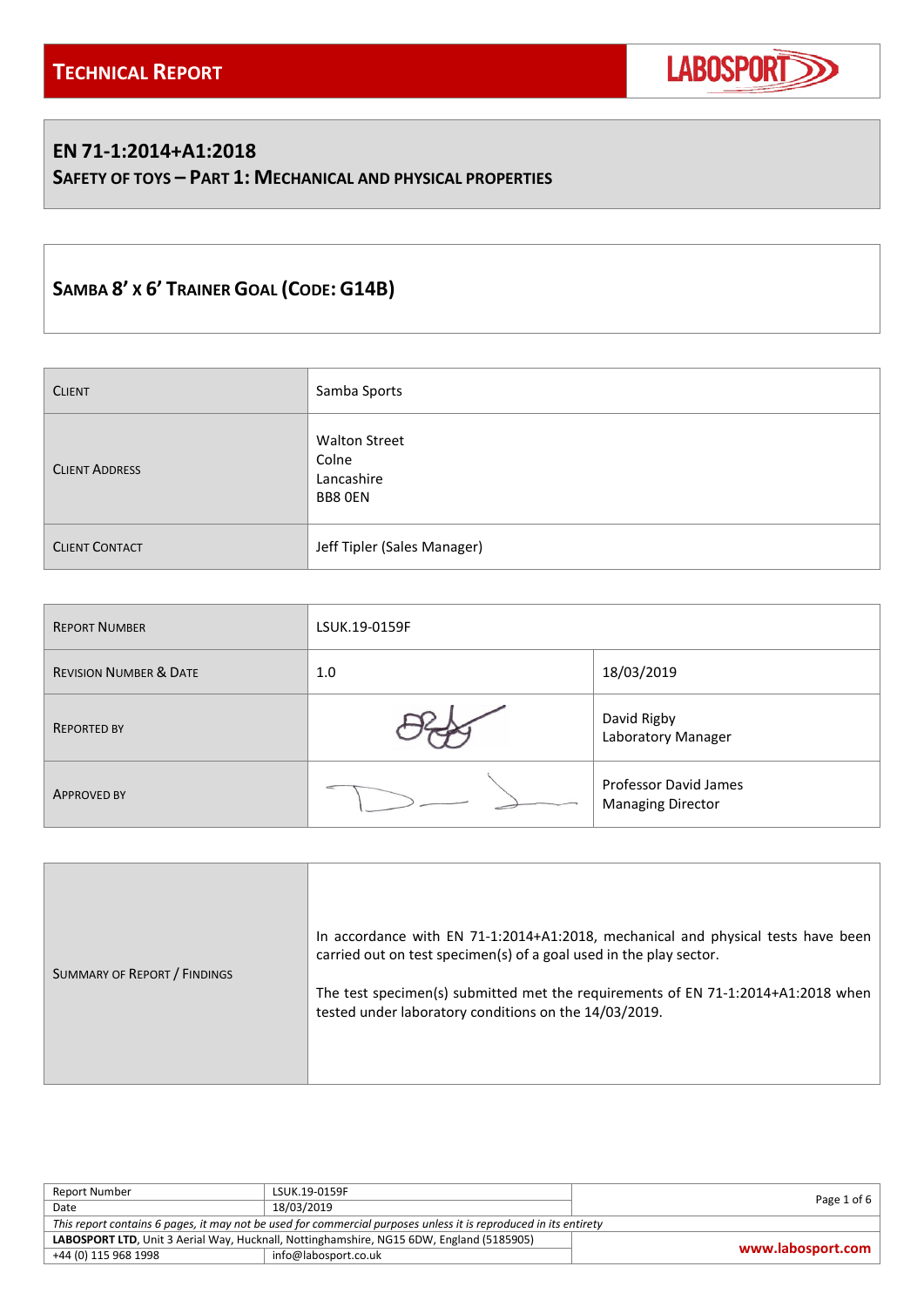

### **EN 71-1:2014+A1:2018**

**SAFETY OF TOYS – PART 1: MECHANICAL AND PHYSICAL PROPERTIES**

# **SAMBA 8' X 6' TRAINER GOAL (CODE: G14B)**

| <b>CLIENT</b>         | Samba Sports                                           |
|-----------------------|--------------------------------------------------------|
| <b>CLIENT ADDRESS</b> | <b>Walton Street</b><br>Colne<br>Lancashire<br>BB8 OEN |
| <b>CLIENT CONTACT</b> | Jeff Tipler (Sales Manager)                            |

| <b>REPORT NUMBER</b>              | LSUK.19-0159F |                                                   |  |
|-----------------------------------|---------------|---------------------------------------------------|--|
| <b>REVISION NUMBER &amp; DATE</b> | 1.0           | 18/03/2019                                        |  |
| <b>REPORTED BY</b>                |               | David Rigby<br>Laboratory Manager                 |  |
| <b>APPROVED BY</b>                |               | Professor David James<br><b>Managing Director</b> |  |

| SUMMARY OF REPORT / FINDINGS | In accordance with EN 71-1:2014+A1:2018, mechanical and physical tests have been<br>carried out on test specimen(s) of a goal used in the play sector.<br>The test specimen(s) submitted met the requirements of EN 71-1:2014+A1:2018 when<br>tested under laboratory conditions on the 14/03/2019. |
|------------------------------|-----------------------------------------------------------------------------------------------------------------------------------------------------------------------------------------------------------------------------------------------------------------------------------------------------|
|------------------------------|-----------------------------------------------------------------------------------------------------------------------------------------------------------------------------------------------------------------------------------------------------------------------------------------------------|

| Report Number                                                                                                    | LSUK.19-0159F        | Page 1 of 6       |  |
|------------------------------------------------------------------------------------------------------------------|----------------------|-------------------|--|
| Date                                                                                                             | 18/03/2019           |                   |  |
| This report contains 6 pages, it may not be used for commercial purposes unless it is reproduced in its entirety |                      |                   |  |
| LABOSPORT LTD, Unit 3 Aerial Way, Hucknall, Nottinghamshire, NG15 6DW, England (5185905)                         |                      |                   |  |
| +44 (0) 115 968 1998                                                                                             | info@labosport.co.uk | www.labosport.com |  |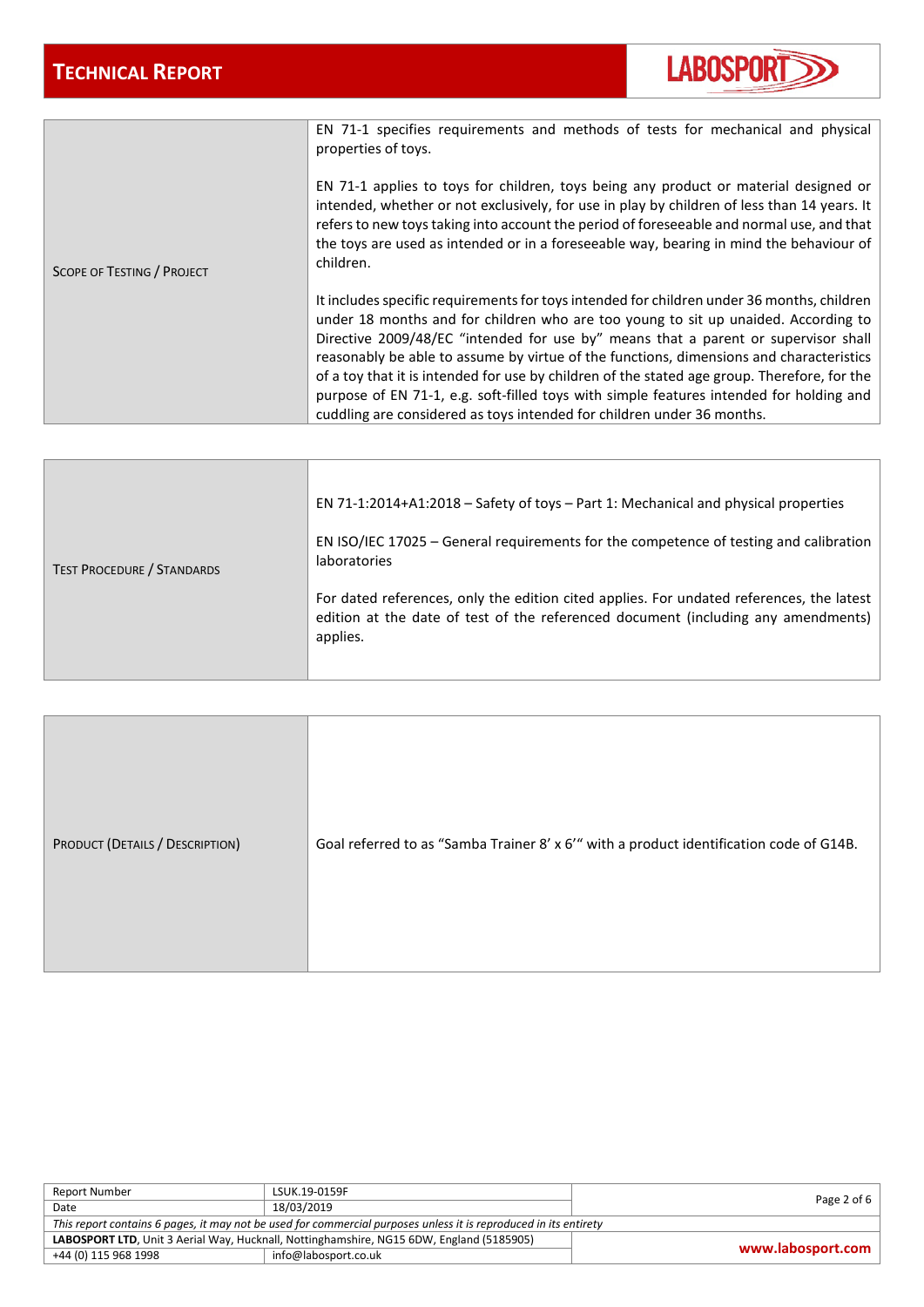

|                            | EN 71-1 specifies requirements and methods of tests for mechanical and physical<br>properties of toys.<br>EN 71-1 applies to toys for children, toys being any product or material designed or<br>intended, whether or not exclusively, for use in play by children of less than 14 years. It<br>refers to new toys taking into account the period of foreseeable and normal use, and that<br>the toys are used as intended or in a foreseeable way, bearing in mind the behaviour of                                                                                                                                                  |
|----------------------------|----------------------------------------------------------------------------------------------------------------------------------------------------------------------------------------------------------------------------------------------------------------------------------------------------------------------------------------------------------------------------------------------------------------------------------------------------------------------------------------------------------------------------------------------------------------------------------------------------------------------------------------|
| SCOPE OF TESTING / PROJECT | children.                                                                                                                                                                                                                                                                                                                                                                                                                                                                                                                                                                                                                              |
|                            | It includes specific requirements for toys intended for children under 36 months, children<br>under 18 months and for children who are too young to sit up unaided. According to<br>Directive 2009/48/EC "intended for use by" means that a parent or supervisor shall<br>reasonably be able to assume by virtue of the functions, dimensions and characteristics<br>of a toy that it is intended for use by children of the stated age group. Therefore, for the<br>purpose of EN 71-1, e.g. soft-filled toys with simple features intended for holding and<br>cuddling are considered as toys intended for children under 36 months. |

|                                   | EN 71-1:2014+A1:2018 - Safety of toys - Part 1: Mechanical and physical properties                                                                                                        |
|-----------------------------------|-------------------------------------------------------------------------------------------------------------------------------------------------------------------------------------------|
| <b>TEST PROCEDURE / STANDARDS</b> | EN ISO/IEC 17025 – General requirements for the competence of testing and calibration<br><b>laboratories</b>                                                                              |
|                                   | For dated references, only the edition cited applies. For undated references, the latest<br>edition at the date of test of the referenced document (including any amendments)<br>applies. |

| PRODUCT (DETAILS / DESCRIPTION) | Goal referred to as "Samba Trainer 8' x 6'" with a product identification code of G14B. |
|---------------------------------|-----------------------------------------------------------------------------------------|
|---------------------------------|-----------------------------------------------------------------------------------------|

| Report Number                                                                                                    | LSUK.19-0159F        | Page 2 of 6 $\vert$ |  |
|------------------------------------------------------------------------------------------------------------------|----------------------|---------------------|--|
| Date                                                                                                             | 18/03/2019           |                     |  |
| This report contains 6 pages, it may not be used for commercial purposes unless it is reproduced in its entirety |                      |                     |  |
| LABOSPORT LTD, Unit 3 Aerial Way, Hucknall, Nottinghamshire, NG15 6DW, England (5185905)                         |                      | www.labosport.com   |  |
| +44 (0) 115 968 1998                                                                                             | info@labosport.co.uk |                     |  |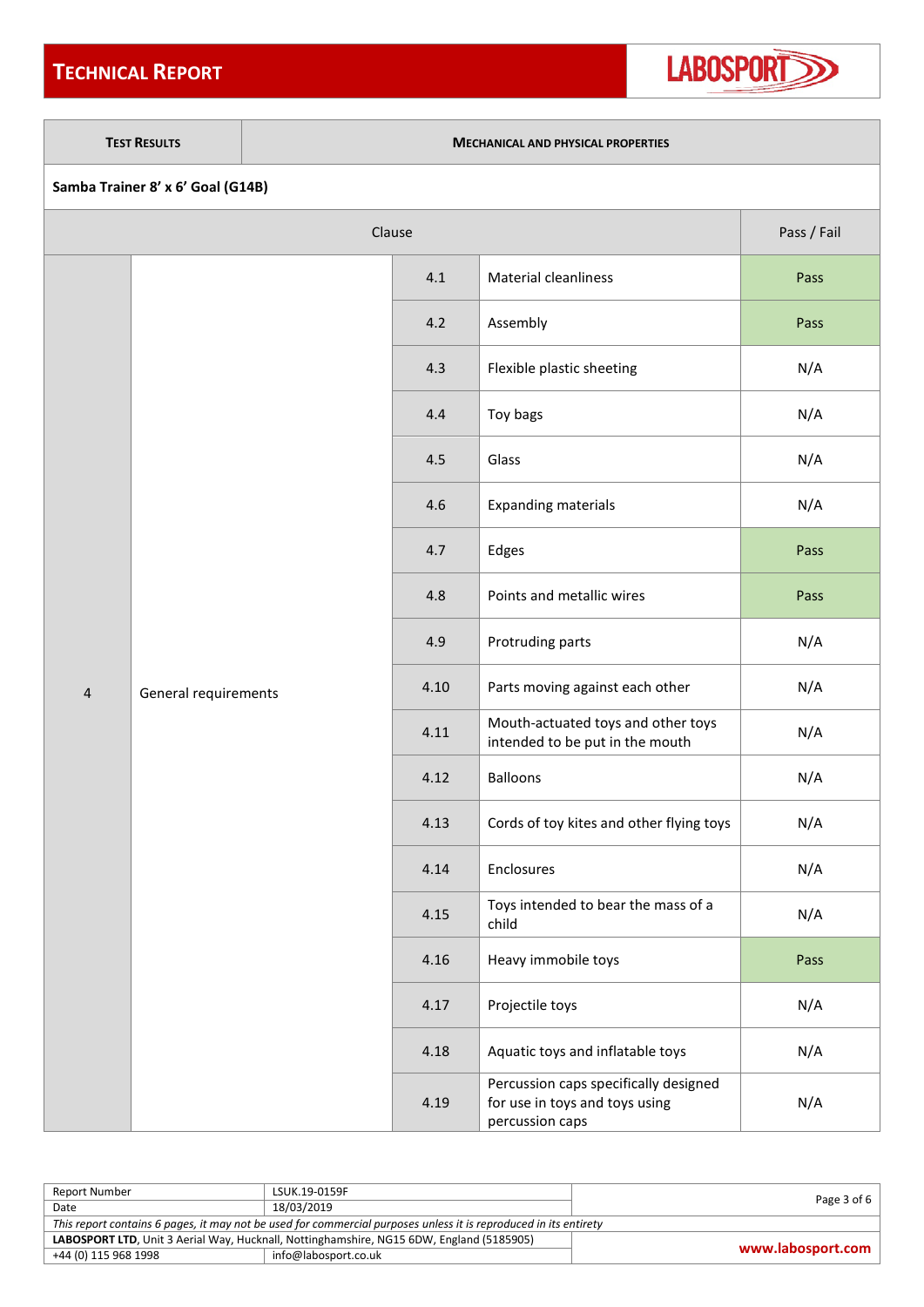## **TECHNICAL REPORT**



#### **TEST RESULTS MECHANICAL AND PHYSICAL PROPERTIES**

|  |  | Samba Trainer 8' x 6' Goal (G14B) |
|--|--|-----------------------------------|
|--|--|-----------------------------------|

| Clause         |                      |      |                                                                                            | Pass / Fail |
|----------------|----------------------|------|--------------------------------------------------------------------------------------------|-------------|
|                |                      | 4.1  | <b>Material cleanliness</b>                                                                | Pass        |
|                |                      | 4.2  | Assembly                                                                                   | Pass        |
|                |                      | 4.3  | Flexible plastic sheeting                                                                  | N/A         |
|                |                      | 4.4  | Toy bags                                                                                   | N/A         |
|                |                      | 4.5  | Glass                                                                                      | N/A         |
|                |                      | 4.6  | <b>Expanding materials</b>                                                                 | N/A         |
|                |                      | 4.7  | Edges                                                                                      | Pass        |
|                |                      | 4.8  | Points and metallic wires                                                                  | Pass        |
|                |                      | 4.9  | Protruding parts                                                                           | N/A         |
| $\overline{4}$ | General requirements | 4.10 | Parts moving against each other                                                            | N/A         |
|                |                      | 4.11 | Mouth-actuated toys and other toys<br>intended to be put in the mouth                      | N/A         |
|                |                      | 4.12 | <b>Balloons</b>                                                                            | N/A         |
|                |                      | 4.13 | Cords of toy kites and other flying toys                                                   | N/A         |
|                |                      | 4.14 | Enclosures                                                                                 | N/A         |
|                |                      | 4.15 | Toys intended to bear the mass of a<br>child                                               | N/A         |
|                |                      | 4.16 | Heavy immobile toys                                                                        | Pass        |
|                |                      | 4.17 | Projectile toys                                                                            | N/A         |
|                |                      | 4.18 | Aquatic toys and inflatable toys                                                           | N/A         |
|                |                      | 4.19 | Percussion caps specifically designed<br>for use in toys and toys using<br>percussion caps | N/A         |

| Report Number                                                                                                    | LSUK.19-0159F        | Page $3$ of $6$   |  |
|------------------------------------------------------------------------------------------------------------------|----------------------|-------------------|--|
| Date                                                                                                             | 18/03/2019           |                   |  |
| This report contains 6 pages, it may not be used for commercial purposes unless it is reproduced in its entirety |                      |                   |  |
| LABOSPORT LTD, Unit 3 Aerial Way, Hucknall, Nottinghamshire, NG15 6DW, England (5185905)                         |                      | www.labosport.com |  |
| +44 (0) 115 968 1998                                                                                             | info@labosport.co.uk |                   |  |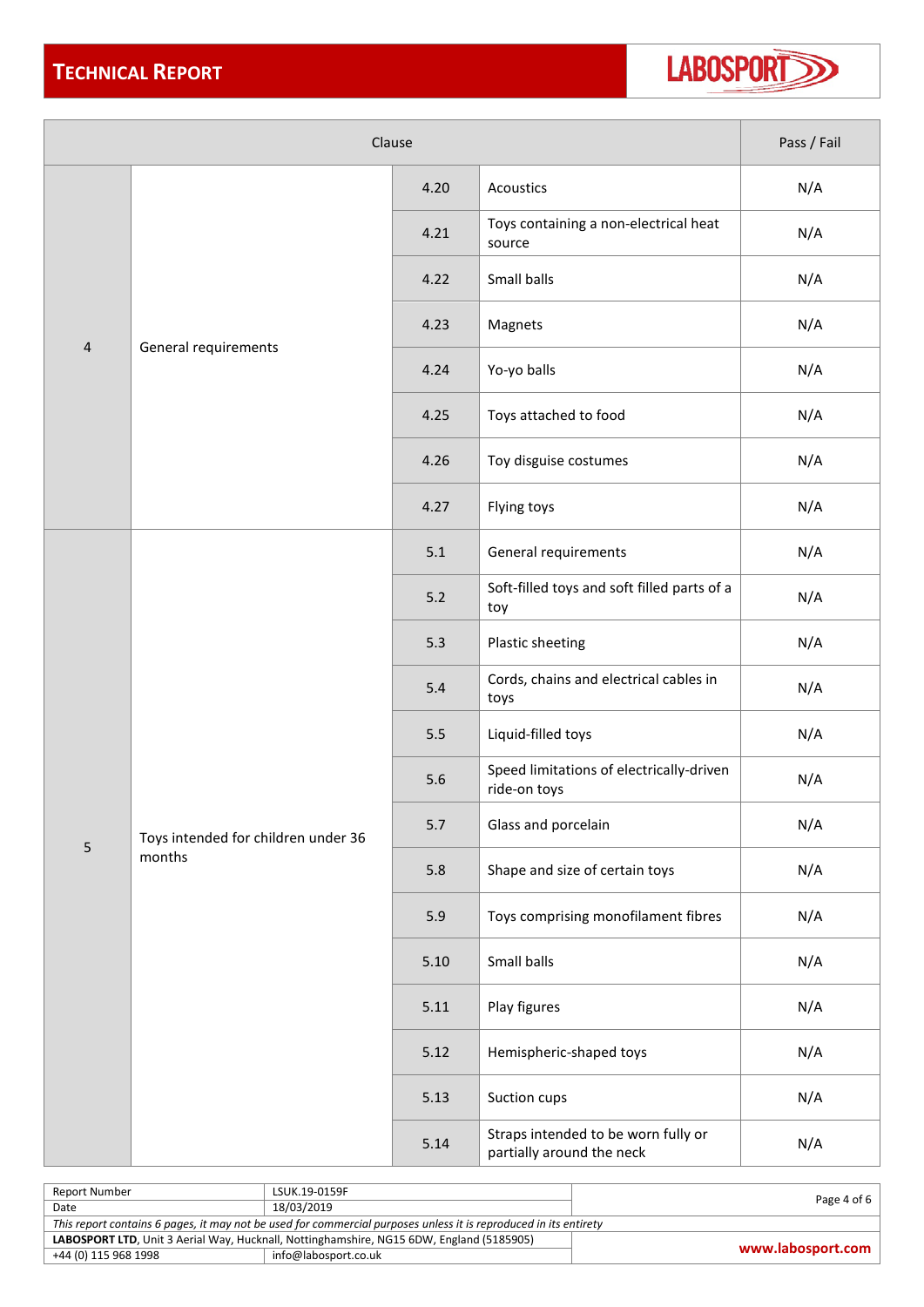

| Clause         |                                               |       |                                                                  | Pass / Fail |
|----------------|-----------------------------------------------|-------|------------------------------------------------------------------|-------------|
|                |                                               | 4.20  | Acoustics                                                        | N/A         |
|                |                                               | 4.21  | Toys containing a non-electrical heat<br>source                  | N/A         |
|                |                                               | 4.22  | Small balls                                                      | N/A         |
|                |                                               | 4.23  | Magnets                                                          | N/A         |
| $\overline{4}$ | General requirements                          | 4.24  | Yo-yo balls                                                      | N/A         |
|                |                                               | 4.25  | Toys attached to food                                            | N/A         |
|                |                                               | 4.26  | Toy disguise costumes                                            | N/A         |
|                |                                               | 4.27  | Flying toys                                                      | N/A         |
|                |                                               | 5.1   | General requirements                                             | N/A         |
|                | Toys intended for children under 36<br>months | $5.2$ | Soft-filled toys and soft filled parts of a<br>toy               | N/A         |
|                |                                               | 5.3   | Plastic sheeting                                                 | N/A         |
|                |                                               | 5.4   | Cords, chains and electrical cables in<br>toys                   | N/A         |
|                |                                               | 5.5   | Liquid-filled toys                                               | N/A         |
|                |                                               | 5.6   | Speed limitations of electrically-driven<br>ride-on toys         | N/A         |
| 5              |                                               | 5.7   | Glass and porcelain                                              | N/A         |
|                |                                               | 5.8   | Shape and size of certain toys                                   | N/A         |
|                |                                               | 5.9   | Toys comprising monofilament fibres                              | N/A         |
|                |                                               | 5.10  | Small balls                                                      | N/A         |
|                |                                               | 5.11  | Play figures                                                     | N/A         |
|                |                                               | 5.12  | Hemispheric-shaped toys                                          | N/A         |
|                |                                               | 5.13  | Suction cups                                                     | N/A         |
|                |                                               | 5.14  | Straps intended to be worn fully or<br>partially around the neck | N/A         |

| Report Number                                                                                                    | LSUK.19-0159F        | Page 4 of 6       |  |
|------------------------------------------------------------------------------------------------------------------|----------------------|-------------------|--|
| Date                                                                                                             | 18/03/2019           |                   |  |
| This report contains 6 pages, it may not be used for commercial purposes unless it is reproduced in its entirety |                      |                   |  |
| LABOSPORT LTD, Unit 3 Aerial Way, Hucknall, Nottinghamshire, NG15 6DW, England (5185905)                         |                      |                   |  |
| +44 (0) 115 968 1998                                                                                             | info@labosport.co.uk | www.labosport.com |  |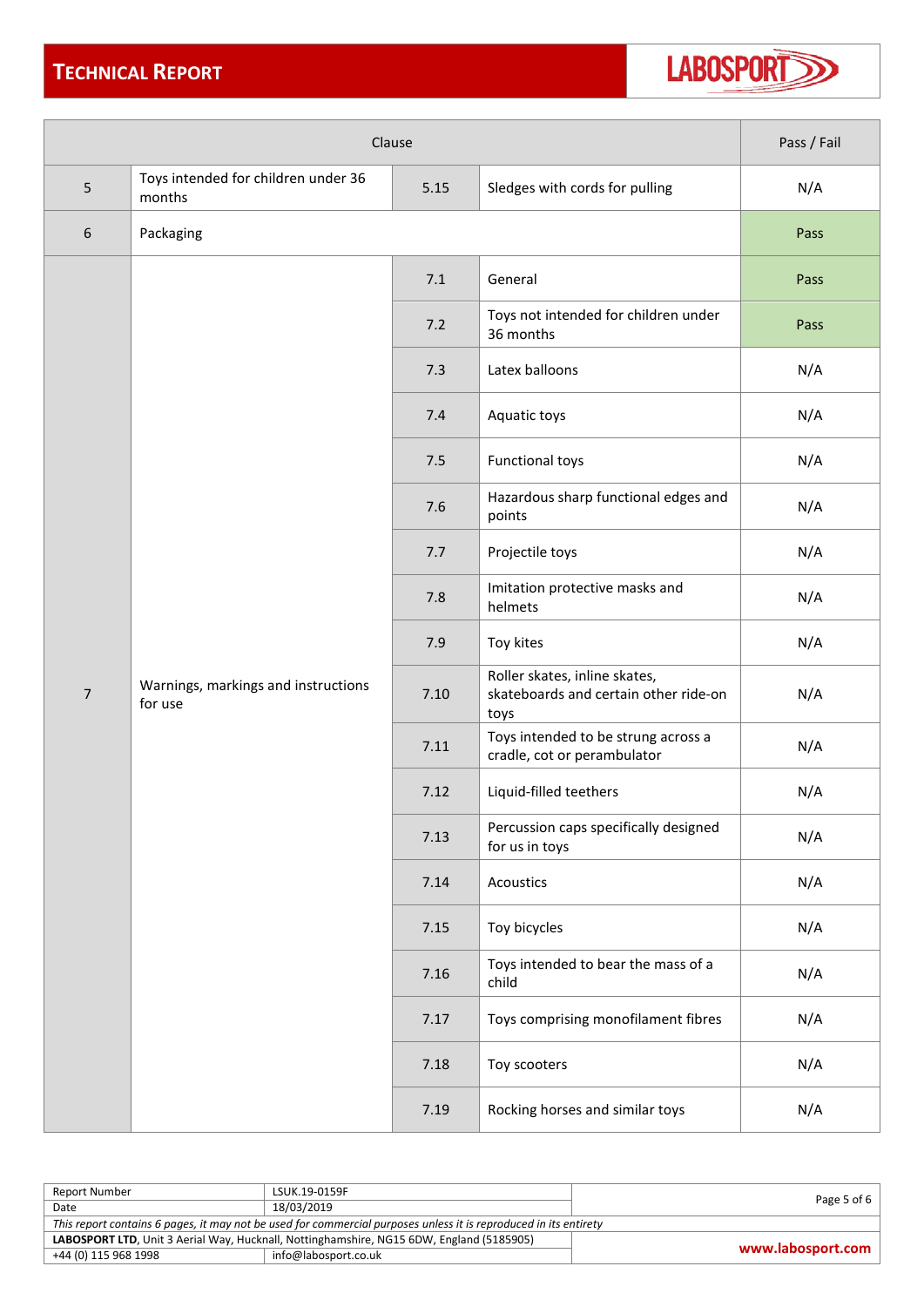## **TECHNICAL REPORT**



| Clause         |                                                                                         | Pass / Fail |                                                                                |      |
|----------------|-----------------------------------------------------------------------------------------|-------------|--------------------------------------------------------------------------------|------|
| 5              | Toys intended for children under 36<br>5.15<br>Sledges with cords for pulling<br>months |             | N/A                                                                            |      |
| 6              | Packaging                                                                               |             |                                                                                | Pass |
|                |                                                                                         | 7.1         | General                                                                        | Pass |
|                |                                                                                         | 7.2         | Toys not intended for children under<br>36 months                              | Pass |
|                |                                                                                         | 7.3         | Latex balloons                                                                 | N/A  |
|                |                                                                                         | 7.4         | Aquatic toys                                                                   | N/A  |
|                |                                                                                         | 7.5         | <b>Functional toys</b>                                                         | N/A  |
|                |                                                                                         | 7.6         | Hazardous sharp functional edges and<br>points                                 | N/A  |
|                |                                                                                         | 7.7         | Projectile toys                                                                | N/A  |
|                |                                                                                         | 7.8         | Imitation protective masks and<br>helmets                                      | N/A  |
|                |                                                                                         | 7.9         | Toy kites                                                                      | N/A  |
| $\overline{7}$ | Warnings, markings and instructions<br>for use                                          | 7.10        | Roller skates, inline skates,<br>skateboards and certain other ride-on<br>toys | N/A  |
|                |                                                                                         | 7.11        | Toys intended to be strung across a<br>cradle, cot or perambulator             | N/A  |
|                |                                                                                         | 7.12        | Liquid-filled teethers                                                         | N/A  |
|                |                                                                                         | 7.13        | Percussion caps specifically designed<br>for us in toys                        | N/A  |
|                |                                                                                         | 7.14        | Acoustics                                                                      | N/A  |
|                |                                                                                         | 7.15        | Toy bicycles                                                                   | N/A  |
|                |                                                                                         | 7.16        | Toys intended to bear the mass of a<br>child                                   | N/A  |
|                |                                                                                         | 7.17        | Toys comprising monofilament fibres                                            | N/A  |
|                |                                                                                         | 7.18        | Toy scooters                                                                   | N/A  |
|                |                                                                                         | 7.19        | Rocking horses and similar toys                                                | N/A  |

| Report Number                                                                                                    | LSUK.19-0159F        | Page 5 of 6 $\vert$ |  |
|------------------------------------------------------------------------------------------------------------------|----------------------|---------------------|--|
| Date                                                                                                             | 18/03/2019           |                     |  |
| This report contains 6 pages, it may not be used for commercial purposes unless it is reproduced in its entirety |                      |                     |  |
| LABOSPORT LTD, Unit 3 Aerial Way, Hucknall, Nottinghamshire, NG15 6DW, England (5185905)                         |                      | www.labosport.com   |  |
| +44 (0) 115 968 1998                                                                                             | info@labosport.co.uk |                     |  |